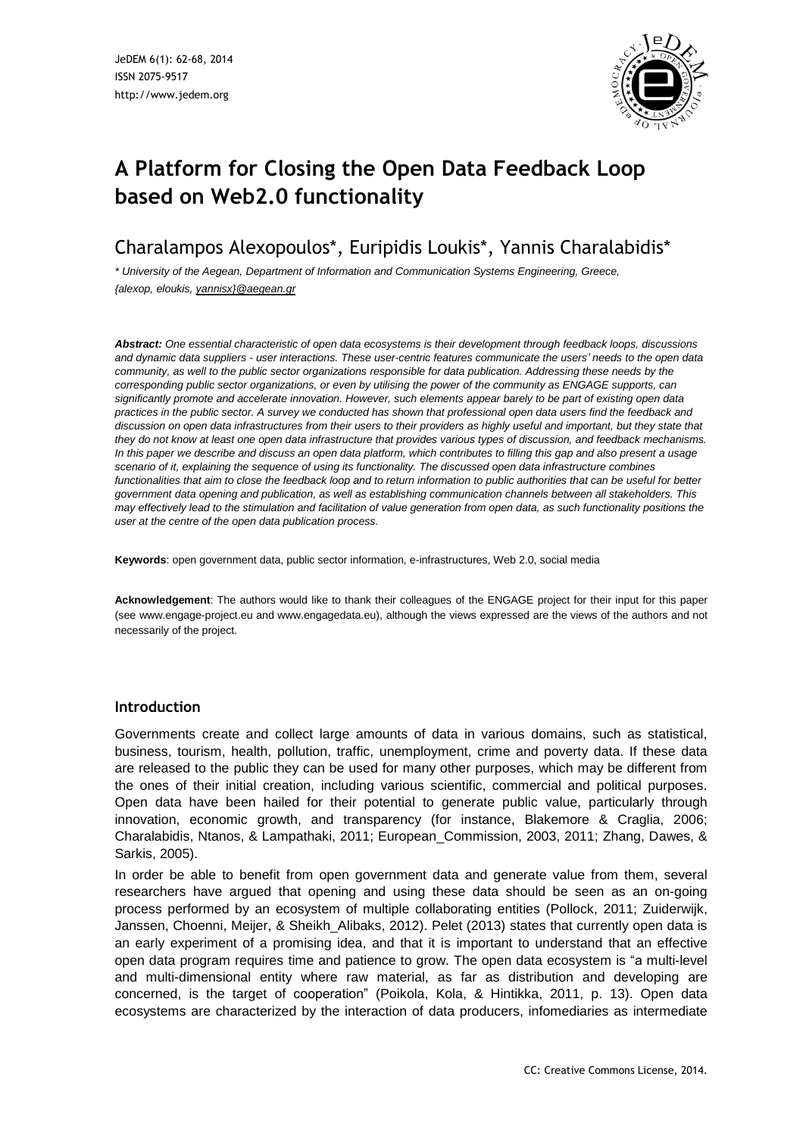

# **A Platform for Closing the Open Data Feedback Loop based on Web2.0 functionality**

Charalampos Alexopoulos\*, Euripidis Loukis\*, Yannis Charalabidis\*

*\* University of the Aegean, Department of Information and Communication Systems Engineering, Greece, {alexop, eloukis, [yannisx}@aegean.gr](mailto:yannisx%7d@aegean.gr)*

*Abstract: One essential characteristic of open data ecosystems is their development through feedback loops, discussions* and dynamic data suppliers - user interactions. These user-centric features communicate the users' needs to the open data community, as well to the public sector organizations responsible for data publication. Addressing these needs by the corresponding public sector organizations, or even by utilising the power of the community as ENGAGE supports, can significantly promote and accelerate innovation. However, such elements appear barely to be part of existing open data practices in the public sector. A survey we conducted has shown that professional open data users find the feedback and discussion on open data infrastructures from their users to their providers as highly useful and important, but they state that they do not know at least one open data infrastructure that provides various types of discussion, and feedback mechanisms. In this paper we describe and discuss an open data platform, which contributes to filling this gap and also present a usage scenario of it, explaining the sequence of using its functionality. The discussed open data infrastructure combines functionalities that aim to close the feedback loop and to return information to public authorities that can be useful for better *government data opening and publication, as well as establishing communication channels between all stakeholders. This* may effectively lead to the stimulation and facilitation of value generation from open data, as such functionality positions the *user at the centre of the open data publication process.*

**Keywords**: open government data, public sector information, e-infrastructures, Web 2.0, social media

**Acknowledgement**: The authors would like to thank their colleagues of the ENGAGE project for their input for this paper (see www.engage-project.eu and www.engagedata.eu), although the views expressed are the views of the authors and not necessarily of the project.

# **Introduction**

Governments create and collect large amounts of data in various domains, such as statistical, business, tourism, health, pollution, traffic, unemployment, crime and poverty data. If these data are released to the public they can be used for many other purposes, which may be different from the ones of their initial creation, including various scientific, commercial and political purposes. Open data have been hailed for their potential to generate public value, particularly through innovation, economic growth, and transparency (for instance, Blakemore & Craglia, 2006; Charalabidis, Ntanos, & Lampathaki, 2011; European\_Commission, 2003, 2011; Zhang, Dawes, & Sarkis, 2005).

In order be able to benefit from open government data and generate value from them, several researchers have argued that opening and using these data should be seen as an on-going process performed by an ecosystem of multiple collaborating entities (Pollock, 2011; Zuiderwijk, Janssen, Choenni, Meijer, & Sheikh\_Alibaks, 2012). Pelet (2013) states that currently open data is an early experiment of a promising idea, and that it is important to understand that an effective open data program requires time and patience to grow. The open data ecosystem is "a multi-level and multi-dimensional entity where raw material, as far as distribution and developing are concerned, is the target of cooperation" (Poikola, Kola, & Hintikka, 2011, p. 13). Open data ecosystems are characterized by the interaction of data producers, infomediaries as intermediate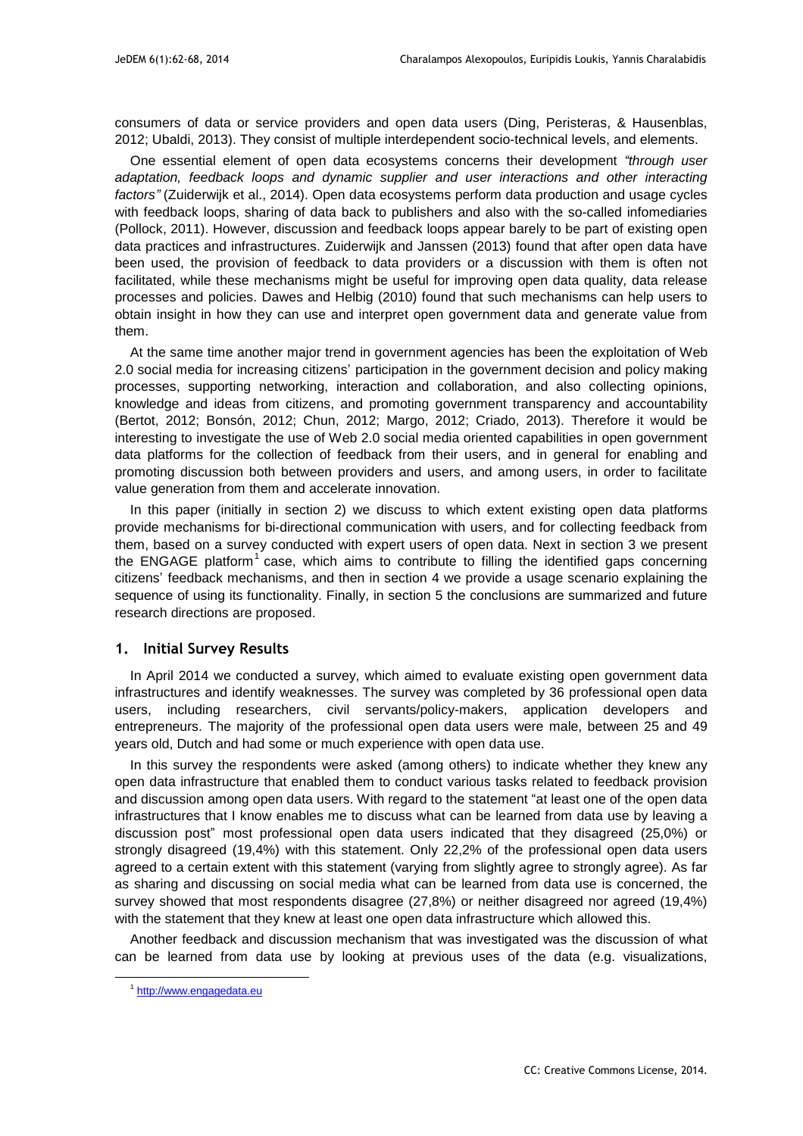consumers of data or service providers and open data users (Ding, Peristeras, & Hausenblas, 2012; Ubaldi, 2013). They consist of multiple interdependent socio-technical levels, and elements.

One essential element of open data ecosystems concerns their development *"through user adaptation, feedback loops and dynamic supplier and user interactions and other interacting factors"* (Zuiderwijk et al., 2014). Open data ecosystems perform data production and usage cycles with feedback loops, sharing of data back to publishers and also with the so-called infomediaries (Pollock, 2011). However, discussion and feedback loops appear barely to be part of existing open data practices and infrastructures. Zuiderwijk and Janssen (2013) found that after open data have been used, the provision of feedback to data providers or a discussion with them is often not facilitated, while these mechanisms might be useful for improving open data quality, data release processes and policies. Dawes and Helbig (2010) found that such mechanisms can help users to obtain insight in how they can use and interpret open government data and generate value from them.

At the same time another major trend in government agencies has been the exploitation of Web 2.0 social media for increasing citizens' participation in the government decision and policy making processes, supporting networking, interaction and collaboration, and also collecting opinions, knowledge and ideas from citizens, and promoting government transparency and accountability (Bertot, 2012; Bonsón, 2012; Chun, 2012; Margo, 2012; Criado, 2013). Therefore it would be interesting to investigate the use of Web 2.0 social media oriented capabilities in open government data platforms for the collection of feedback from their users, and in general for enabling and promoting discussion both between providers and users, and among users, in order to facilitate value generation from them and accelerate innovation.

In this paper (initially in section 2) we discuss to which extent existing open data platforms provide mechanisms for bi-directional communication with users, and for collecting feedback from them, based on a survey conducted with expert users of open data. Next in section 3 we present the ENGAGE platform<sup>1</sup> case, which aims to contribute to filling the identified gaps concerning citizens' feedback mechanisms, and then in section 4 we provide a usage scenario explaining the sequence of using its functionality. Finally, in section 5 the conclusions are summarized and future research directions are proposed.

# **1. Initial Survey Results**

In April 2014 we conducted a survey, which aimed to evaluate existing open government data infrastructures and identify weaknesses. The survey was completed by 36 professional open data users, including researchers, civil servants/policy-makers, application developers and entrepreneurs. The majority of the professional open data users were male, between 25 and 49 years old, Dutch and had some or much experience with open data use.

In this survey the respondents were asked (among others) to indicate whether they knew any open data infrastructure that enabled them to conduct various tasks related to feedback provision and discussion among open data users. With regard to the statement "at least one of the open data infrastructures that I know enables me to discuss what can be learned from data use by leaving a discussion post" most professional open data users indicated that they disagreed (25,0%) or strongly disagreed (19,4%) with this statement. Only 22,2% of the professional open data users agreed to a certain extent with this statement (varying from slightly agree to strongly agree). As far as sharing and discussing on social media what can be learned from data use is concerned, the survey showed that most respondents disagree (27,8%) or neither disagreed nor agreed (19,4%) with the statement that they knew at least one open data infrastructure which allowed this.

Another feedback and discussion mechanism that was investigated was the discussion of what can be learned from data use by looking at previous uses of the data (e.g. visualizations,

<u>.</u>

<sup>&</sup>lt;sup>1</sup> [http://www.engagedata.eu](http://www.engagedata.eu/)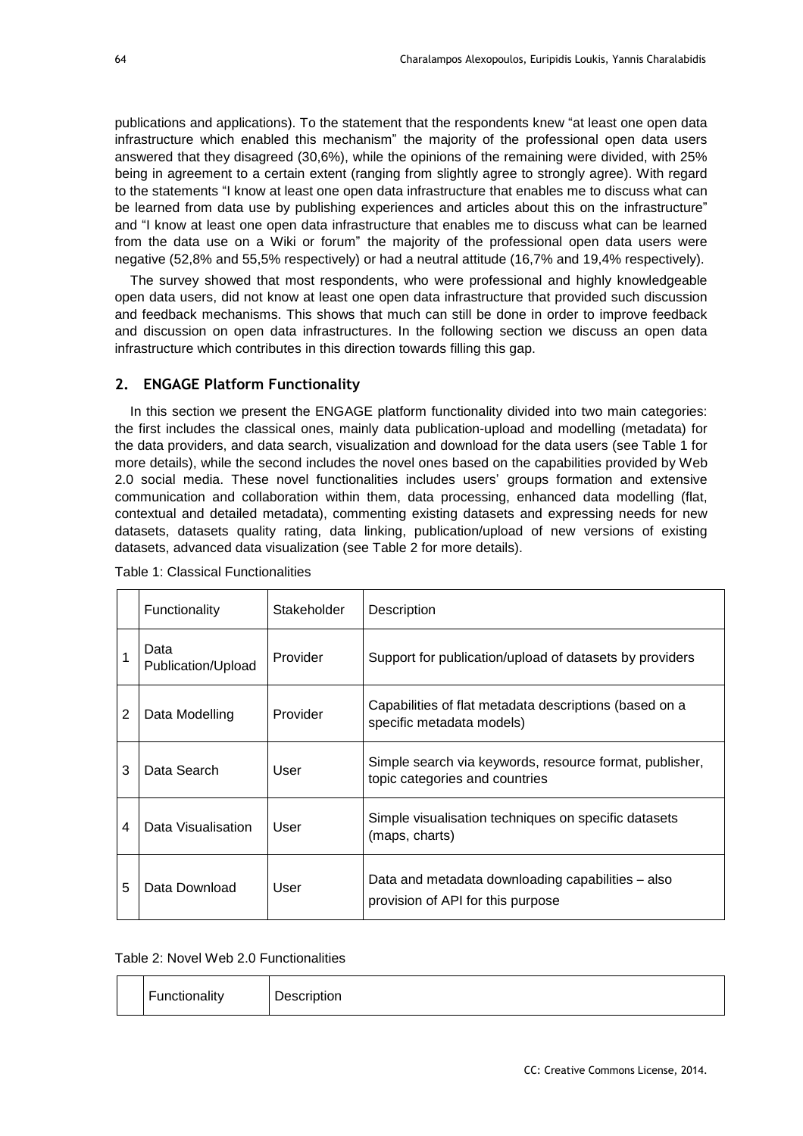publications and applications). To the statement that the respondents knew "at least one open data infrastructure which enabled this mechanism" the majority of the professional open data users answered that they disagreed (30,6%), while the opinions of the remaining were divided, with 25% being in agreement to a certain extent (ranging from slightly agree to strongly agree). With regard to the statements "I know at least one open data infrastructure that enables me to discuss what can be learned from data use by publishing experiences and articles about this on the infrastructure" and "I know at least one open data infrastructure that enables me to discuss what can be learned from the data use on a Wiki or forum" the majority of the professional open data users were negative (52,8% and 55,5% respectively) or had a neutral attitude (16,7% and 19,4% respectively).

The survey showed that most respondents, who were professional and highly knowledgeable open data users, did not know at least one open data infrastructure that provided such discussion and feedback mechanisms. This shows that much can still be done in order to improve feedback and discussion on open data infrastructures. In the following section we discuss an open data infrastructure which contributes in this direction towards filling this gap.

# **2. ENGAGE Platform Functionality**

In this section we present the ENGAGE platform functionality divided into two main categories: the first includes the classical ones, mainly data publication-upload and modelling (metadata) for the data providers, and data search, visualization and download for the data users (see Table 1 for more details), while the second includes the novel ones based on the capabilities provided by Web 2.0 social media. These novel functionalities includes users' groups formation and extensive communication and collaboration within them, data processing, enhanced data modelling (flat, contextual and detailed metadata), commenting existing datasets and expressing needs for new datasets, datasets quality rating, data linking, publication/upload of new versions of existing datasets, advanced data visualization (see Table 2 for more details).

|   | Functionality              | Stakeholder | Description                                                                               |
|---|----------------------------|-------------|-------------------------------------------------------------------------------------------|
|   | Data<br>Publication/Upload | Provider    | Support for publication/upload of datasets by providers                                   |
| 2 | Data Modelling             | Provider    | Capabilities of flat metadata descriptions (based on a<br>specific metadata models)       |
| 3 | Data Search                | User        | Simple search via keywords, resource format, publisher,<br>topic categories and countries |
| 4 | Data Visualisation         | User        | Simple visualisation techniques on specific datasets<br>(maps, charts)                    |
| 5 | Data Download              | User        | Data and metadata downloading capabilities – also<br>provision of API for this purpose    |

Table 1: Classical Functionalities

Table 2: Novel Web 2.0 Functionalities

| <b>Functionality</b> | Description |
|----------------------|-------------|
|----------------------|-------------|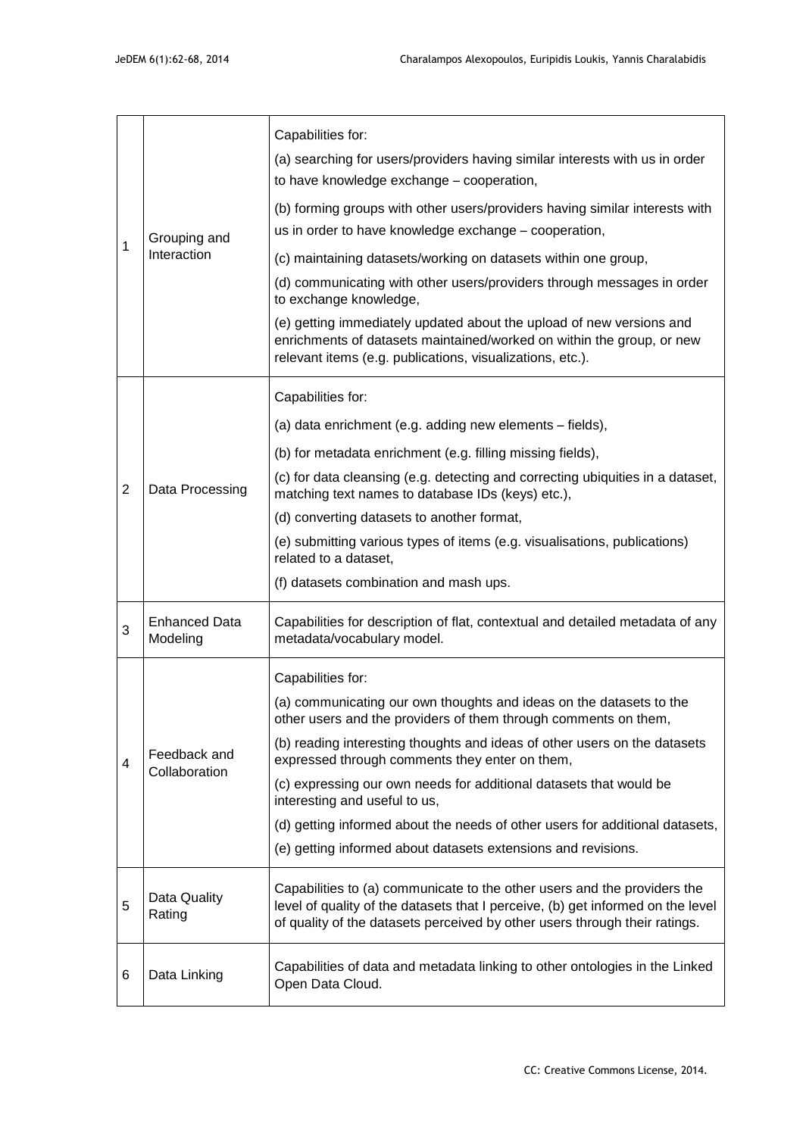| 1              | Grouping and<br>Interaction      | Capabilities for:<br>(a) searching for users/providers having similar interests with us in order<br>to have knowledge exchange - cooperation,<br>(b) forming groups with other users/providers having similar interests with<br>us in order to have knowledge exchange - cooperation,<br>(c) maintaining datasets/working on datasets within one group,<br>(d) communicating with other users/providers through messages in order<br>to exchange knowledge,<br>(e) getting immediately updated about the upload of new versions and<br>enrichments of datasets maintained/worked on within the group, or new<br>relevant items (e.g. publications, visualizations, etc.). |  |
|----------------|----------------------------------|---------------------------------------------------------------------------------------------------------------------------------------------------------------------------------------------------------------------------------------------------------------------------------------------------------------------------------------------------------------------------------------------------------------------------------------------------------------------------------------------------------------------------------------------------------------------------------------------------------------------------------------------------------------------------|--|
| $\overline{2}$ | Data Processing                  | Capabilities for:<br>(a) data enrichment (e.g. adding new elements - fields),<br>(b) for metadata enrichment (e.g. filling missing fields),<br>(c) for data cleansing (e.g. detecting and correcting ubiquities in a dataset,<br>matching text names to database IDs (keys) etc.),<br>(d) converting datasets to another format,<br>(e) submitting various types of items (e.g. visualisations, publications)<br>related to a dataset,<br>(f) datasets combination and mash ups.                                                                                                                                                                                          |  |
| 3              | <b>Enhanced Data</b><br>Modeling | Capabilities for description of flat, contextual and detailed metadata of any<br>metadata/vocabulary model.                                                                                                                                                                                                                                                                                                                                                                                                                                                                                                                                                               |  |
| 4              | Feedback and<br>Collaboration    | Capabilities for:<br>(a) communicating our own thoughts and ideas on the datasets to the<br>other users and the providers of them through comments on them<br>(b) reading interesting thoughts and ideas of other users on the datasets<br>expressed through comments they enter on them,<br>(c) expressing our own needs for additional datasets that would be<br>interesting and useful to us,<br>(d) getting informed about the needs of other users for additional datasets,<br>(e) getting informed about datasets extensions and revisions.                                                                                                                         |  |
| 5              | Data Quality<br>Rating           | Capabilities to (a) communicate to the other users and the providers the<br>level of quality of the datasets that I perceive, (b) get informed on the level<br>of quality of the datasets perceived by other users through their ratings.                                                                                                                                                                                                                                                                                                                                                                                                                                 |  |
| 6              | Data Linking                     | Capabilities of data and metadata linking to other ontologies in the Linked<br>Open Data Cloud.                                                                                                                                                                                                                                                                                                                                                                                                                                                                                                                                                                           |  |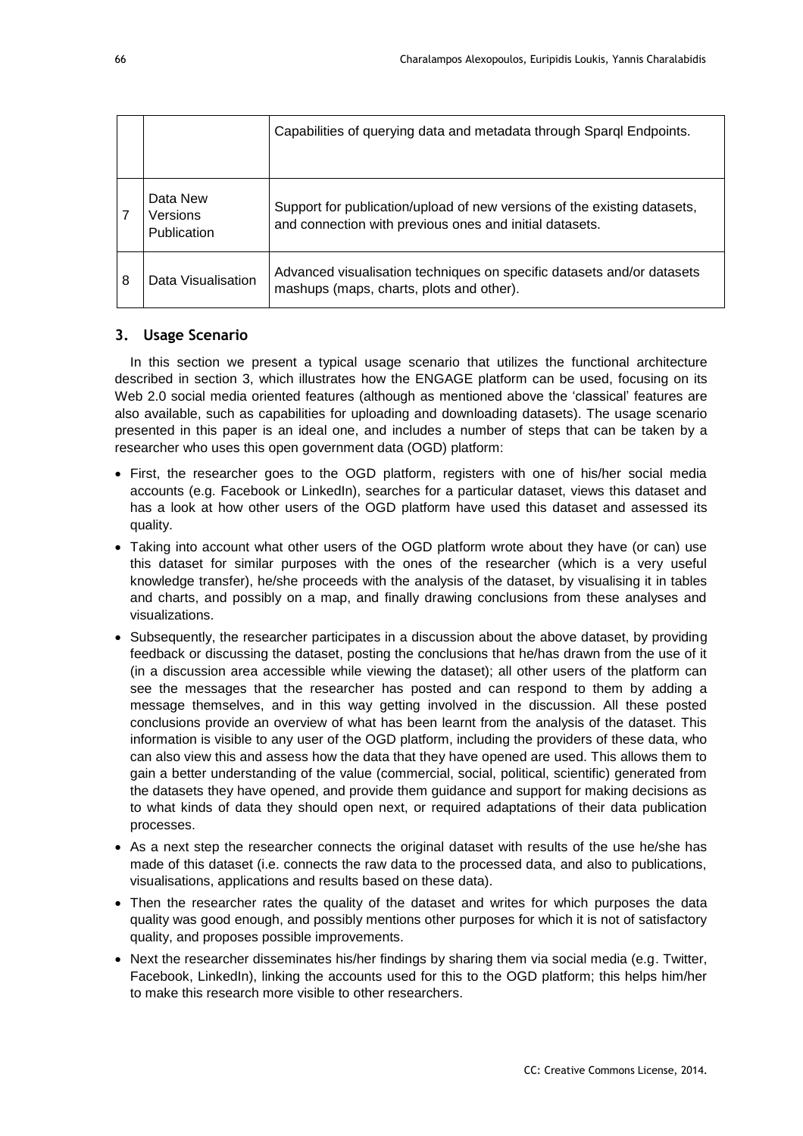|   |                                            | Capabilities of querying data and metadata through Sparql Endpoints.                                                                |
|---|--------------------------------------------|-------------------------------------------------------------------------------------------------------------------------------------|
|   | Data New<br><b>Versions</b><br>Publication | Support for publication/upload of new versions of the existing datasets,<br>and connection with previous ones and initial datasets. |
| 8 | Data Visualisation                         | Advanced visualisation techniques on specific datasets and/or datasets<br>mashups (maps, charts, plots and other).                  |

## **3. Usage Scenario**

In this section we present a typical usage scenario that utilizes the functional architecture described in section 3, which illustrates how the ENGAGE platform can be used, focusing on its Web 2.0 social media oriented features (although as mentioned above the 'classical' features are also available, such as capabilities for uploading and downloading datasets). The usage scenario presented in this paper is an ideal one, and includes a number of steps that can be taken by a researcher who uses this open government data (OGD) platform:

- First, the researcher goes to the OGD platform, registers with one of his/her social media accounts (e.g. Facebook or LinkedIn), searches for a particular dataset, views this dataset and has a look at how other users of the OGD platform have used this dataset and assessed its quality.
- Taking into account what other users of the OGD platform wrote about they have (or can) use this dataset for similar purposes with the ones of the researcher (which is a very useful knowledge transfer), he/she proceeds with the analysis of the dataset, by visualising it in tables and charts, and possibly on a map, and finally drawing conclusions from these analyses and visualizations.
- Subsequently, the researcher participates in a discussion about the above dataset, by providing feedback or discussing the dataset, posting the conclusions that he/has drawn from the use of it (in a discussion area accessible while viewing the dataset); all other users of the platform can see the messages that the researcher has posted and can respond to them by adding a message themselves, and in this way getting involved in the discussion. All these posted conclusions provide an overview of what has been learnt from the analysis of the dataset. This information is visible to any user of the OGD platform, including the providers of these data, who can also view this and assess how the data that they have opened are used. This allows them to gain a better understanding of the value (commercial, social, political, scientific) generated from the datasets they have opened, and provide them guidance and support for making decisions as to what kinds of data they should open next, or required adaptations of their data publication processes.
- As a next step the researcher connects the original dataset with results of the use he/she has made of this dataset (i.e. connects the raw data to the processed data, and also to publications, visualisations, applications and results based on these data).
- Then the researcher rates the quality of the dataset and writes for which purposes the data quality was good enough, and possibly mentions other purposes for which it is not of satisfactory quality, and proposes possible improvements.
- Next the researcher disseminates his/her findings by sharing them via social media (e.g. Twitter, Facebook, LinkedIn), linking the accounts used for this to the OGD platform; this helps him/her to make this research more visible to other researchers.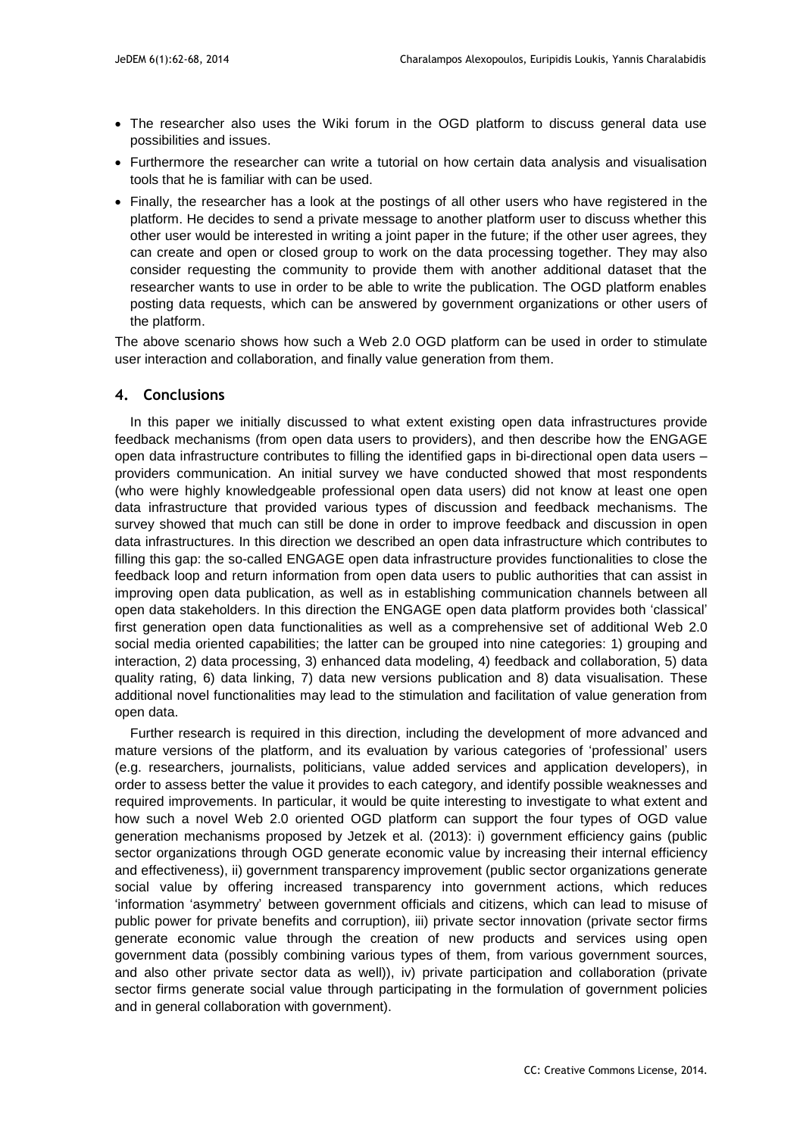- The researcher also uses the Wiki forum in the OGD platform to discuss general data use possibilities and issues.
- Furthermore the researcher can write a tutorial on how certain data analysis and visualisation tools that he is familiar with can be used.
- Finally, the researcher has a look at the postings of all other users who have registered in the platform. He decides to send a private message to another platform user to discuss whether this other user would be interested in writing a joint paper in the future; if the other user agrees, they can create and open or closed group to work on the data processing together. They may also consider requesting the community to provide them with another additional dataset that the researcher wants to use in order to be able to write the publication. The OGD platform enables posting data requests, which can be answered by government organizations or other users of the platform.

The above scenario shows how such a Web 2.0 OGD platform can be used in order to stimulate user interaction and collaboration, and finally value generation from them.

## **4. Conclusions**

In this paper we initially discussed to what extent existing open data infrastructures provide feedback mechanisms (from open data users to providers), and then describe how the ENGAGE open data infrastructure contributes to filling the identified gaps in bi-directional open data users – providers communication. An initial survey we have conducted showed that most respondents (who were highly knowledgeable professional open data users) did not know at least one open data infrastructure that provided various types of discussion and feedback mechanisms. The survey showed that much can still be done in order to improve feedback and discussion in open data infrastructures. In this direction we described an open data infrastructure which contributes to filling this gap: the so-called ENGAGE open data infrastructure provides functionalities to close the feedback loop and return information from open data users to public authorities that can assist in improving open data publication, as well as in establishing communication channels between all open data stakeholders. In this direction the ENGAGE open data platform provides both 'classical' first generation open data functionalities as well as a comprehensive set of additional Web 2.0 social media oriented capabilities; the latter can be grouped into nine categories: 1) grouping and interaction, 2) data processing, 3) enhanced data modeling, 4) feedback and collaboration, 5) data quality rating, 6) data linking, 7) data new versions publication and 8) data visualisation. These additional novel functionalities may lead to the stimulation and facilitation of value generation from open data.

Further research is required in this direction, including the development of more advanced and mature versions of the platform, and its evaluation by various categories of 'professional' users (e.g. researchers, journalists, politicians, value added services and application developers), in order to assess better the value it provides to each category, and identify possible weaknesses and required improvements. In particular, it would be quite interesting to investigate to what extent and how such a novel Web 2.0 oriented OGD platform can support the four types of OGD value generation mechanisms proposed by Jetzek et al. (2013): i) government efficiency gains (public sector organizations through OGD generate economic value by increasing their internal efficiency and effectiveness), ii) government transparency improvement (public sector organizations generate social value by offering increased transparency into government actions, which reduces 'information 'asymmetry' between government officials and citizens, which can lead to misuse of public power for private benefits and corruption), iii) private sector innovation (private sector firms generate economic value through the creation of new products and services using open government data (possibly combining various types of them, from various government sources, and also other private sector data as well)), iv) private participation and collaboration (private sector firms generate social value through participating in the formulation of government policies and in general collaboration with government).